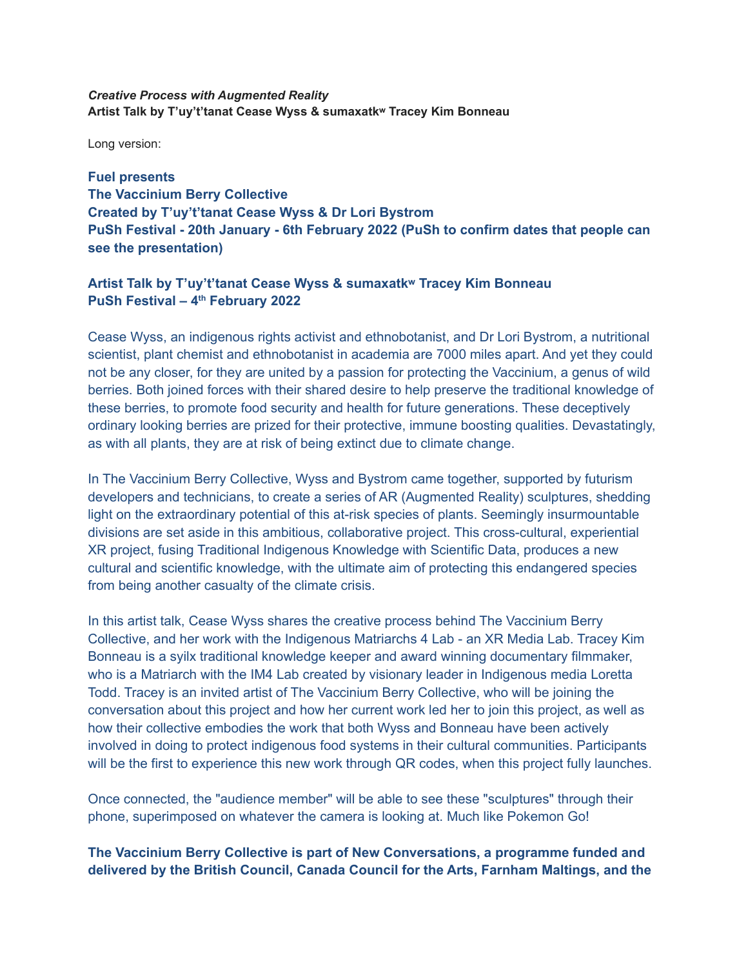#### *Creative Process with Augmented Reality* **Artist Talk by T'uy't'tanat Cease Wyss & sumaxatkʷ Tracey Kim Bonneau**

Long version:

**Fuel presents The Vaccinium Berry Collective Created by T'uy't'tanat Cease Wyss & Dr Lori Bystrom PuSh Festival - 20th January - 6th February 2022 (PuSh to confirm dates that people can see the presentation)**

# **Artist Talk by T'uy't'tanat Cease Wyss & sumaxatkʷ Tracey Kim Bonneau PuSh Festival – 4 th February 2022**

Cease Wyss, an indigenous rights activist and ethnobotanist, and Dr Lori Bystrom, a nutritional scientist, plant chemist and ethnobotanist in academia are 7000 miles apart. And yet they could not be any closer, for they are united by a passion for protecting the Vaccinium, a genus of wild berries. Both joined forces with their shared desire to help preserve the traditional knowledge of these berries, to promote food security and health for future generations. These deceptively ordinary looking berries are prized for their protective, immune boosting qualities. Devastatingly, as with all plants, they are at risk of being extinct due to climate change.

In The Vaccinium Berry Collective, Wyss and Bystrom came together, supported by futurism developers and technicians, to create a series of AR (Augmented Reality) sculptures, shedding light on the extraordinary potential of this at-risk species of plants. Seemingly insurmountable divisions are set aside in this ambitious, collaborative project. This cross-cultural, experiential XR project, fusing Traditional Indigenous Knowledge with Scientific Data, produces a new cultural and scientific knowledge, with the ultimate aim of protecting this endangered species from being another casualty of the climate crisis.

In this artist talk, Cease Wyss shares the creative process behind The Vaccinium Berry Collective, and her work with the Indigenous Matriarchs 4 Lab - an XR Media Lab. Tracey Kim Bonneau is a syilx traditional knowledge keeper and award winning documentary filmmaker, who is a Matriarch with the IM4 Lab created by visionary leader in Indigenous media Loretta Todd. Tracey is an invited artist of The Vaccinium Berry Collective, who will be joining the conversation about this project and how her current work led her to join this project, as well as how their collective embodies the work that both Wyss and Bonneau have been actively involved in doing to protect indigenous food systems in their cultural communities. Participants will be the first to experience this new work through QR codes, when this project fully launches.

Once connected, the "audience member" will be able to see these "sculptures" through their phone, superimposed on whatever the camera is looking at. Much like Pokemon Go!

## **The Vaccinium Berry Collective is part of New Conversations, a programme funded and delivered by the British Council, Canada Council for the Arts, Farnham Maltings, and the**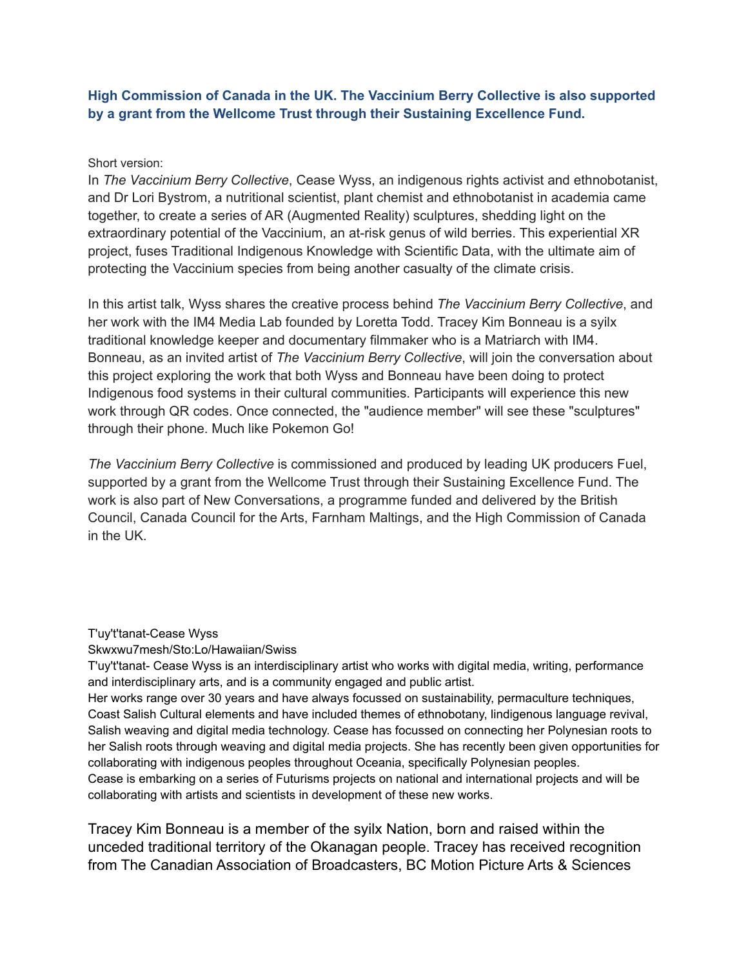## **High Commission of Canada in the UK. The Vaccinium Berry Collective is also supported by a grant from the Wellcome Trust through their Sustaining Excellence Fund.**

#### Short version:

In *The Vaccinium Berry Collective*, Cease Wyss, an indigenous rights activist and ethnobotanist, and Dr Lori Bystrom, a nutritional scientist, plant chemist and ethnobotanist in academia came together, to create a series of AR (Augmented Reality) sculptures, shedding light on the extraordinary potential of the Vaccinium, an at-risk genus of wild berries. This experiential XR project, fuses Traditional Indigenous Knowledge with Scientific Data, with the ultimate aim of protecting the Vaccinium species from being another casualty of the climate crisis.

In this artist talk, Wyss shares the creative process behind *The Vaccinium Berry Collective*, and her work with the IM4 Media Lab founded by Loretta Todd. Tracey Kim Bonneau is a syilx traditional knowledge keeper and documentary filmmaker who is a Matriarch with IM4. Bonneau, as an invited artist of *The Vaccinium Berry Collective*, will join the conversation about this project exploring the work that both Wyss and Bonneau have been doing to protect Indigenous food systems in their cultural communities. Participants will experience this new work through QR codes. Once connected, the "audience member" will see these "sculptures" through their phone. Much like Pokemon Go!

*The Vaccinium Berry Collective* is commissioned and produced by leading UK producers Fuel, supported by a grant from the Wellcome Trust through their Sustaining Excellence Fund. The work is also part of New Conversations, a programme funded and delivered by the British Council, Canada Council for the Arts, Farnham Maltings, and the High Commission of Canada in the UK.

### T'uy't'tanat-Cease Wyss

#### Skwxwu7mesh/Sto:Lo/Hawaiian/Swiss

T'uy't'tanat- Cease Wyss is an interdisciplinary artist who works with digital media, writing, performance and interdisciplinary arts, and is a community engaged and public artist.

Her works range over 30 years and have always focussed on sustainability, permaculture techniques, Coast Salish Cultural elements and have included themes of ethnobotany, lindigenous language revival, Salish weaving and digital media technology. Cease has focussed on connecting her Polynesian roots to her Salish roots through weaving and digital media projects. She has recently been given opportunities for collaborating with indigenous peoples throughout Oceania, specifically Polynesian peoples. Cease is embarking on a series of Futurisms projects on national and international projects and will be collaborating with artists and scientists in development of these new works.

Tracey Kim Bonneau is a member of the syilx Nation, born and raised within the unceded traditional territory of the Okanagan people. Tracey has received recognition from The Canadian Association of Broadcasters, BC Motion Picture Arts & Sciences